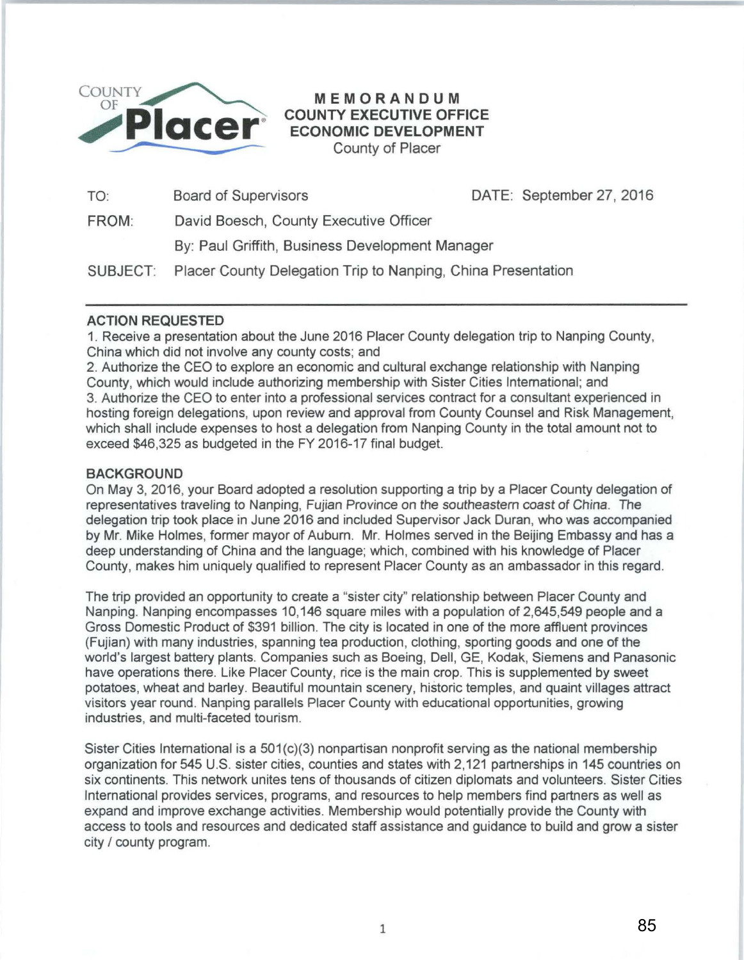

## MEMORANDUM COUNTY EXECUTIVE OFFICE ECONOMIC DEVELOPMENT County of Placer

TO: Board of Supervisors DATE: September 27, 2016

FROM: David Boesch, County Executive Officer

By: Paul Griffith, Business Development Manager

SUBJECT: Placer County Delegation Trip to Nanping, China Presentation

## ACTION REQUESTED

1. Receive a presentation about the June 2016 Placer County delegation trip to Nanping County, China which did not involve any county costs; and

2. Authorize the CEO to explore an economic and cultural exchange relationship with Nanping County, which would include authorizing membership with Sister Cities International; and 3. Authorize the CEO to enter into a professional services contract for a consultant experienced in hosting foreign delegations, upon review and approval from County Counsel and Risk Management, which shall include expenses to host a delegation from Nanping County in the total amount not to exceed \$46,325 as budgeted in the FY 2016-17 final budget.

## **BACKGROUND**

On May 3, 2016, your Board adopted a resolution supporting a trip by a Placer County delegation of representatives traveling to Nanping, Fujian Province on the southeastern coast of China. The delegation trip took place in June 2016 and included Supervisor Jack Duran, who was accompanied by Mr. Mike Holmes, former mayor of Auburn. Mr. Holmes served in the Beijing Embassy and has a deep understanding of China and the language; which, combined with his knowledge of Placer County, makes him uniquely qualified to represent Placer County as an ambassador in this regard.

The trip provided an opportunity to create a "sister city" relationship between Placer County and Nanping. Nanping encompasses 10,146 square miles with a population of 2,645,549 people and a Gross Domestic Product of \$391 billion. The city is located in one of the more affluent provinces (Fujian) with many industries, spanning tea production, clothing, sporting goods and one of the world's largest battery plants. Companies such as Boeing, Dell, GE, Kodak, Siemens and Panasonic have operations there. Like Placer County, rice is the main crop. This is supplemented by sweet potatoes, wheat and barley. Beautiful mountain scenery, historic temples, and quaint villages attract visitors year round. Nanping parallels Placer County with educational opportunities, growing industries, and multi-faceted tourism.

Sister Cities International is a  $501(c)(3)$  nonpartisan nonprofit serving as the national membership organization for 545 U.S. sister cities, counties and states with 2,121 partnerships in 145 countries on six continents. This network unites tens of thousands of citizen diplomats and volunteers. Sister Cities International provides services, programs, and resources to help members find partners as well as expand and improve exchange activities. Membership would potentially provide the County with access to tools and resources and dedicated staff assistance and guidance to build and grow a sister city / county program.

1